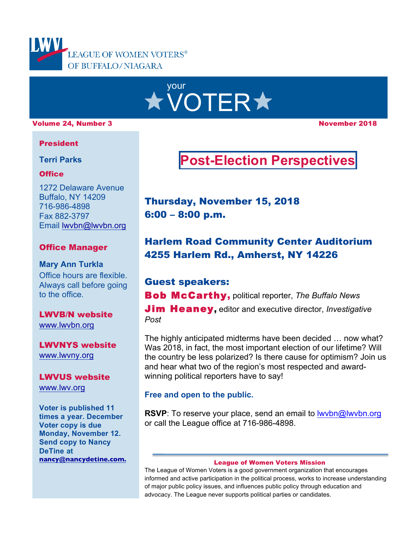

# your **\* VOTER\***

### volume 24, Number 3 November 2018

### President

**Terri Parks**

### **Office**

1272 Delaware Avenue Buffalo, NY 14209 716-986-4898 Fax 882-3797 Email lwvbn@lwvbn.org

### Office Manager

**Mary Ann Turkla** Office hours are flexible. Always call before going to the office.

### LWVB/N website www.lwvbn.org

LWVNYS website www.lwvny.org

LWVUS website www.lwv.org

**Voter is published 11 times a year. December Voter copy is due Monday, November 12. Send copy to Nancy DeTine at nancy@nancydetine.com.**

## **Post-Election Perspectives**

Thursday, November 15, 2018 6:00 – 8:00 p.m.

## Harlem Road Community Center Auditorium 4255 Harlem Rd., Amherst, NY 14226

## Guest speakers:

Bob McCarthy, political reporter, *The Buffalo News*

Jim Heaney, editor and executive director, *Investigative Post*

The highly anticipated midterms have been decided … now what? Was 2018, in fact, the most important election of our lifetime? Will the country be less polarized? Is there cause for optimism? Join us and hear what two of the region's most respected and awardwinning political reporters have to say!

### **Free and open to the public.**

**RSVP**: To reserve your place, send an email to lwvbn@lwvbn.org or call the League office at 716-986-4898.

#### League of Women Voters Mission

The League of Women Voters is a good government organization that encourages informed and active participation in the political process, works to increase understanding of major public policy issues, and influences public policy through education and advocacy. The League never supports political parties or candidates.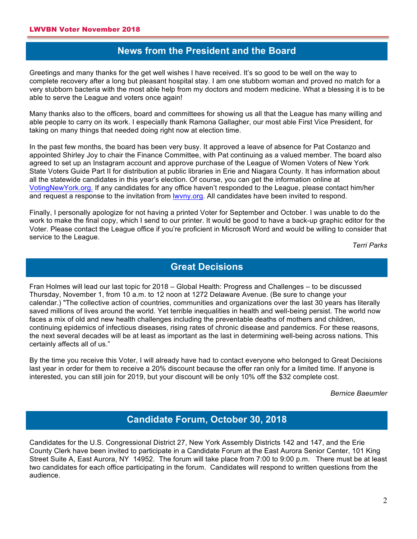**A**

**A**

### **News from the President and the Board**

Greetings and many thanks for the get well wishes I have received. It's so good to be well on the way to complete recovery after a long but pleasant hospital stay. I am one stubborn woman and proved no match for a very stubborn bacteria with the most able help from my doctors and modern medicine. What a blessing it is to be able to serve the League and voters once again!

Many thanks also to the officers, board and committees for showing us all that the League has many willing and able people to carry on its work. I especially thank Ramona Gallagher, our most able First Vice President, for taking on many things that needed doing right now at election time.

In the past few months, the board has been very busy. It approved a leave of absence for Pat Costanzo and appointed Shirley Joy to chair the Finance Committee, with Pat continuing as a valued member. The board also agreed to set up an Instagram account and approve purchase of the League of Women Voters of New York State Voters Guide Part II for distribution at public libraries in Erie and Niagara County. It has information about all the statewide candidates in this year's election. Of course, you can get the information online at VotingNewYork.org. If any candidates for any office haven't responded to the League, please contact him/her and request a response to the invitation from lwvny.org. All candidates have been invited to respond.

Finally, I personally apologize for not having a printed Voter for September and October. I was unable to do the work to make the final copy, which I send to our printer. It would be good to have a back-up graphic editor for the Voter. Please contact the League office if you're proficient in Microsoft Word and would be willing to consider that service to the League.

*Terri Parks*

### **Great Decisions**

**A** Fran Holmes will lead our last topic for 2018 – Global Health: Progress and Challenges – to be discussed Thursday, November 1, from 10 a.m. to 12 noon at 1272 Delaware Avenue. (Be sure to change your calendar.) "The collective action of countries, communities and organizations over the last 30 years has literally saved millions of lives around the world. Yet terrible inequalities in health and well-being persist. The world now faces a mix of old and new health challenges including the preventable deaths of mothers and children, continuing epidemics of infectious diseases, rising rates of chronic disease and pandemics. For these reasons, the next several decades will be at least as important as the last in determining well-being across nations. This certainly affects all of us."

By the time you receive this Voter, I will already have had to contact everyone who belonged to Great Decisions last year in order for them to receive a 20% discount because the offer ran only for a limited time. If anyone is interested, you can still join for 2019, but your discount will be only 10% off the \$32 complete cost.

*Bernice Baeumler*

## **Candidate Forum, October 30, 2018**

Candidates for the U.S. Congressional District 27, New York Assembly Districts 142 and 147, and the Erie County Clerk have been invited to participate in a Candidate Forum at the East Aurora Senior Center, 101 King Street Suite A, East Aurora, NY 14952. The forum will take place from 7:00 to 9:00 p.m. There must be at least two candidates for each office participating in the forum. Candidates will respond to written questions from the audience.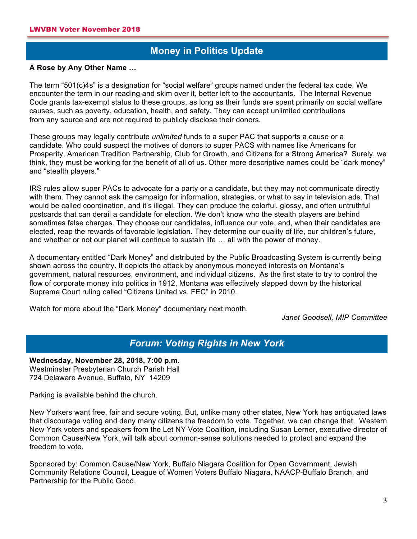## **Money in Politics Update**

## **A A Rose by Any Other Name …**

The term "501(c)4s" is a designation for "social welfare" groups named under the federal tax code. We encounter the term in our reading and skim over it, better left to the accountants. The Internal Revenue Code grants tax-exempt status to these groups, as long as their funds are spent primarily on social welfare causes, such as poverty, education, health, and safety. They can accept unlimited contributions from any source and are not required to publicly disclose their donors.

These groups may legally contribute *unlimited* funds to a super PAC that supports a cause or a candidate. Who could suspect the motives of donors to super PACS with names like Americans for Prosperity, American Tradition Partnership, Club for Growth, and Citizens for a Strong America? Surely, we think, they must be working for the benefit of all of us. Other more descriptive names could be "dark money" and "stealth players."

IRS rules allow super PACs to advocate for a party or a candidate, but they may not communicate directly with them. They cannot ask the campaign for information, strategies, or what to say in television ads. That would be called coordination, and it's illegal. They can produce the colorful. glossy, and often untruthful postcards that can derail a candidate for election. We don't know who the stealth players are behind sometimes false charges. They choose our candidates, influence our vote, and, when their candidates are elected, reap the rewards of favorable legislation. They determine our quality of life, our children's future, and whether or not our planet will continue to sustain life … all with the power of money.

A documentary entitled "Dark Money" and distributed by the Public Broadcasting System is currently being shown across the country. It depicts the attack by anonymous moneyed interests on Montana's government, natural resources, environment, and individual citizens. As the first state to try to control the flow of corporate money into politics in 1912, Montana was effectively slapped down by the historical Supreme Court ruling called "Citizens United vs. FEC" in 2010.

Watch for more about the "Dark Money" documentary next month.

*Janet Goodsell, MIP Committee*

## *Forum: Voting Rights in New York* **A**

**Wednesday, November 28, 2018, 7:00 p.m.** Westminster Presbyterian Church Parish Hall 724 Delaware Avenue, Buffalo, NY 14209

Parking is available behind the church.

New Yorkers want free, fair and secure voting. But, unlike many other states, New York has antiquated laws that discourage voting and deny many citizens the freedom to vote. Together, we can change that. Western New York voters and speakers from the Let NY Vote Coalition, including Susan Lerner, executive director of Common Cause/New York, will talk about common-sense solutions needed to protect and expand the freedom to vote.

Sponsored by: Common Cause/New York, Buffalo Niagara Coalition for Open Government, Jewish Community Relations Council, League of Women Voters Buffalo Niagara, NAACP-Buffalo Branch, and Partnership for the Public Good.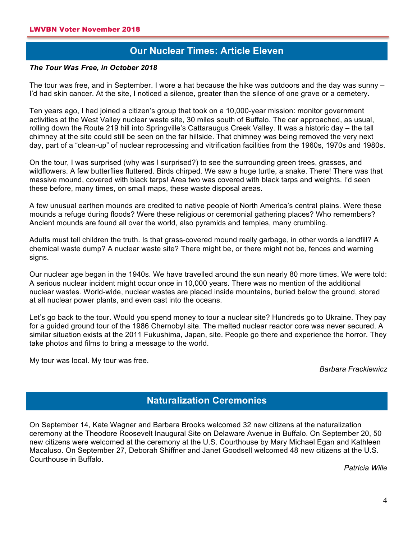## **Our Nuclear Times: Article Eleven A**

### *The Tour Was Free, in October 2018*

The tour was free, and in September. I wore a hat because the hike was outdoors and the day was sunny – I'd had skin cancer. At the site, I noticed a silence, greater than the silence of one grave or a cemetery.

Ten years ago, I had joined a citizen's group that took on a 10,000-year mission: monitor government activities at the West Valley nuclear waste site, 30 miles south of Buffalo. The car approached, as usual, rolling down the Route 219 hill into Springville's Cattaraugus Creek Valley. It was a historic day – the tall chimney at the site could still be seen on the far hillside. That chimney was being removed the very next day, part of a "clean-up" of nuclear reprocessing and vitrification facilities from the 1960s, 1970s and 1980s.

On the tour, I was surprised (why was I surprised?) to see the surrounding green trees, grasses, and wildflowers. A few butterflies fluttered. Birds chirped. We saw a huge turtle, a snake. There! There was that massive mound, covered with black tarps! Area two was covered with black tarps and weights. I'd seen these before, many times, on small maps, these waste disposal areas.

A few unusual earthen mounds are credited to native people of North America's central plains. Were these mounds a refuge during floods? Were these religious or ceremonial gathering places? Who remembers? Ancient mounds are found all over the world, also pyramids and temples, many crumbling.

Adults must tell children the truth. Is that grass-covered mound really garbage, in other words a landfill? A chemical waste dump? A nuclear waste site? There might be, or there might not be, fences and warning signs.

Our nuclear age began in the 1940s. We have travelled around the sun nearly 80 more times. We were told: A serious nuclear incident might occur once in 10,000 years. There was no mention of the additional nuclear wastes. World-wide, nuclear wastes are placed inside mountains, buried below the ground, stored at all nuclear power plants, and even cast into the oceans.

Let's go back to the tour. Would you spend money to tour a nuclear site? Hundreds go to Ukraine. They pay for a guided ground tour of the 1986 Chernobyl site. The melted nuclear reactor core was never secured. A similar situation exists at the 2011 Fukushima, Japan, site. People go there and experience the horror. They take photos and films to bring a message to the world.

My tour was local. My tour was free.

### *Barbara Frackiewicz*

## **Naturalization Ceremonies A**

On September 14, Kate Wagner and Barbara Brooks welcomed 32 new citizens at the naturalization ceremony at the Theodore Roosevelt Inaugural Site on Delaware Avenue in Buffalo. On September 20, 50 new citizens were welcomed at the ceremony at the U.S. Courthouse by Mary Michael Egan and Kathleen Macaluso. On September 27, Deborah Shiffner and Janet Goodsell welcomed 48 new citizens at the U.S. Courthouse in Buffalo.

*Patricia Wille*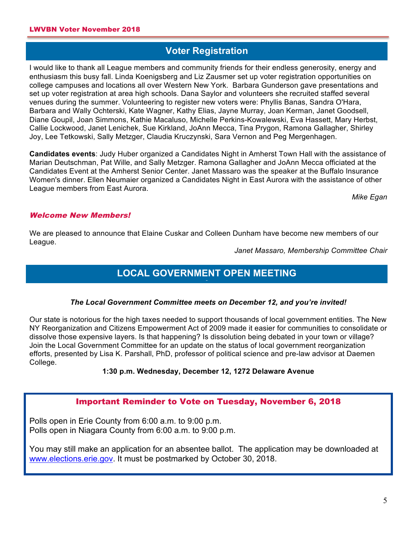## **Voter Registration**

I would like to thank all League members and community friends for their endless generosity, energy and enthusiasm this busy fall. Linda Koenigsberg and Liz Zausmer set up voter registration opportunities on college campuses and locations all over Western New York. Barbara Gunderson gave presentations and set up voter registration at area high schools. Dana Saylor and volunteers she recruited staffed several venues during the summer. Volunteering to register new voters were: Phyllis Banas, Sandra O'Hara, Barbara and Wally Ochterski, Kate Wagner, Kathy Elias, Jayne Murray, Joan Kerman, Janet Goodsell, Diane Goupil, Joan Simmons, Kathie Macaluso, Michelle Perkins-Kowalewski, Eva Hassett, Mary Herbst, Callie Lockwood, Janet Lenichek, Sue Kirkland, JoAnn Mecca, Tina Prygon, Ramona Gallagher, Shirley Joy, Lee Tetkowski, Sally Metzger, Claudia Kruczynski, Sara Vernon and Peg Mergenhagen.

**Candidates events**: Judy Huber organized a Candidates Night in Amherst Town Hall with the assistance of Marian Deutschman, Pat Wille, and Sally Metzger. Ramona Gallagher and JoAnn Mecca officiated at the Candidates Event at the Amherst Senior Center. Janet Massaro was the speaker at the Buffalo Insurance Women's dinner. Ellen Neumaier organized a Candidates Night in East Aurora with the assistance of other League members from East Aurora.

*Mike Egan*

### Welcome New Members!

We are pleased to announce that Elaine Cuskar and Colleen Dunham have become new members of our League.

*Janet Massaro, Membership Committee Chair*

## **LOCAL GOVERNMENT OPEN MEETING A**

### *The Local Government Committee meets on December 12, and you're invited!*

Our state is notorious for the high taxes needed to support thousands of local government entities. The New NY Reorganization and Citizens Empowerment Act of 2009 made it easier for communities to consolidate or dissolve those expensive layers. Is that happening? Is dissolution being debated in your town or village? Join the Local Government Committee for an update on the status of local government reorganization efforts, presented by Lisa K. Parshall, PhD, professor of political science and pre-law advisor at Daemen College.

### **1:30 p.m. Wednesday, December 12, 1272 Delaware Avenue**

### Important Reminder to Vote on Tuesday, November 6, 2018

Polls open in Erie County from 6:00 a.m. to 9:00 p.m. Polls open in Niagara County from 6:00 a.m. to 9:00 p.m.

You may still make an application for an absentee ballot. The application may be downloaded at www.elections.erie.gov. It must be postmarked by October 30, 2018.